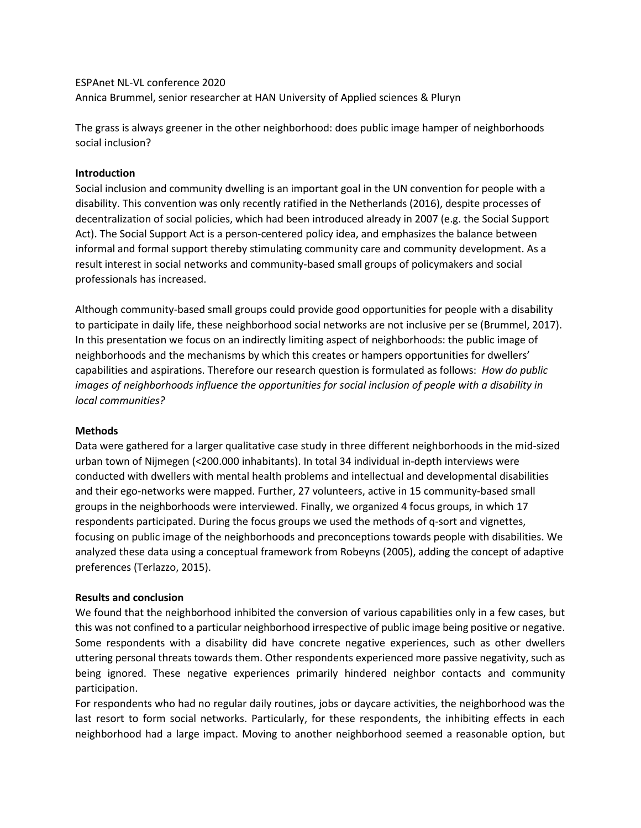ESPAnet NL-VL conference 2020 Annica Brummel, senior researcher at HAN University of Applied sciences & Pluryn

The grass is always greener in the other neighborhood: does public image hamper of neighborhoods social inclusion?

## **Introduction**

Social inclusion and community dwelling is an important goal in the UN convention for people with a disability. This convention was only recently ratified in the Netherlands (2016), despite processes of decentralization of social policies, which had been introduced already in 2007 (e.g. the Social Support Act). The Social Support Act is a person-centered policy idea, and emphasizes the balance between informal and formal support thereby stimulating community care and community development. As a result interest in social networks and community-based small groups of policymakers and social professionals has increased.

Although community-based small groups could provide good opportunities for people with a disability to participate in daily life, these neighborhood social networks are not inclusive per se (Brummel, 2017). In this presentation we focus on an indirectly limiting aspect of neighborhoods: the public image of neighborhoods and the mechanisms by which this creates or hampers opportunities for dwellers' capabilities and aspirations. Therefore our research question is formulated as follows: *How do public images of neighborhoods influence the opportunities for social inclusion of people with a disability in local communities?*

## **Methods**

Data were gathered for a larger qualitative case study in three different neighborhoods in the mid-sized urban town of Nijmegen (<200.000 inhabitants). In total 34 individual in-depth interviews were conducted with dwellers with mental health problems and intellectual and developmental disabilities and their ego-networks were mapped. Further, 27 volunteers, active in 15 community-based small groups in the neighborhoods were interviewed. Finally, we organized 4 focus groups, in which 17 respondents participated. During the focus groups we used the methods of q-sort and vignettes, focusing on public image of the neighborhoods and preconceptions towards people with disabilities. We analyzed these data using a conceptual framework from Robeyns (2005), adding the concept of adaptive preferences (Terlazzo, 2015).

## **Results and conclusion**

We found that the neighborhood inhibited the conversion of various capabilities only in a few cases, but this was not confined to a particular neighborhood irrespective of public image being positive or negative. Some respondents with a disability did have concrete negative experiences, such as other dwellers uttering personal threats towards them. Other respondents experienced more passive negativity, such as being ignored. These negative experiences primarily hindered neighbor contacts and community participation.

For respondents who had no regular daily routines, jobs or daycare activities, the neighborhood was the last resort to form social networks. Particularly, for these respondents, the inhibiting effects in each neighborhood had a large impact. Moving to another neighborhood seemed a reasonable option, but